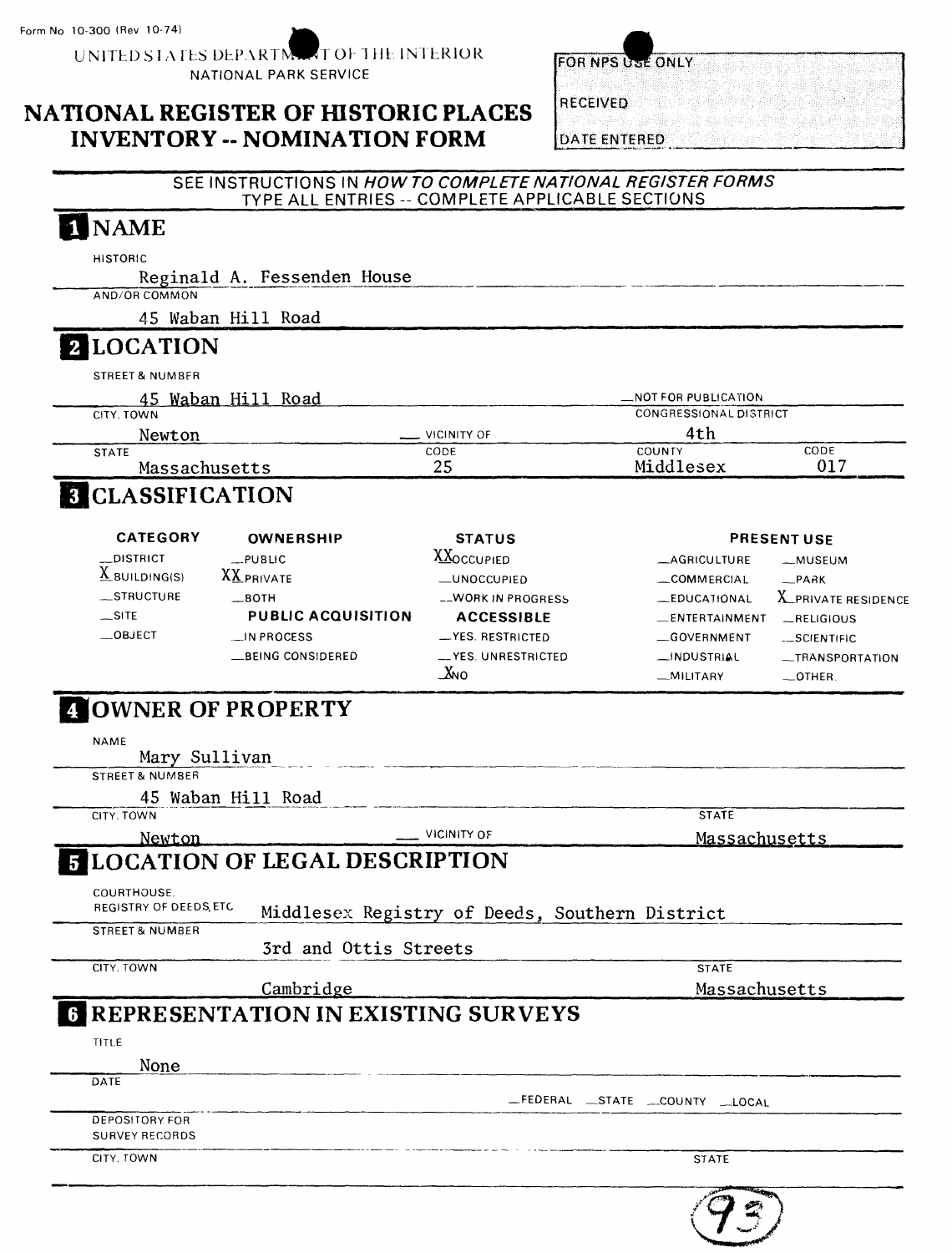UNITED STATES DEPARTMENT OF THE INTERIOR NATIONAL PARK SERVICE

### **NATIONAL REGISTER OF HISTORIC PLACES INVENTORY -- NOMINATION FORM**

**RECEIVED** 

**DATE ENTERED** 

 $75,$ 

FOR NPS USE ONLY

### SEE INSTRUCTIONS IN **HOW TO COMPLETE NATIONAL REGISTER FORMS**  TYPE ALL ENTRIES - COMPLETE APPLICABLE SECTIONS

| <b>HISTORIC</b>                                            | Reginald A. Fessenden House                 |                                                |                                |                     |
|------------------------------------------------------------|---------------------------------------------|------------------------------------------------|--------------------------------|---------------------|
| AND/OR COMMON                                              |                                             |                                                |                                |                     |
|                                                            | 45 Waban Hill Road                          |                                                |                                |                     |
| 2 LOCATION                                                 |                                             |                                                |                                |                     |
| <b>STREET &amp; NUMBER</b>                                 |                                             |                                                |                                |                     |
|                                                            | 45 Waban Hill Road                          |                                                | NOT FOR PUBLICATION.           |                     |
| CITY, TOWN                                                 |                                             |                                                | <b>CONGRESSIONAL DISTRICT</b>  |                     |
| Newton                                                     |                                             | VICINITY OF                                    | 4th<br>COUNTY                  | CODE                |
| <b>STATE</b><br>Massachusetts                              |                                             | CODE<br>25                                     | Middlesex                      | 017                 |
| <b>CLASSIFICATION</b>                                      |                                             |                                                |                                |                     |
| <b>CATEGORY</b>                                            | <b>OWNERSHIP</b>                            | <b>STATUS</b>                                  |                                | <b>PRESENT USE</b>  |
| _DISTRICT                                                  | $$ PUBLIC                                   | <b>XXOCCUPIED</b>                              | AGRICULTURE                    | -MUSEUM             |
| $X$ suilding(s)                                            | <b>XX PRIVATE</b>                           | _UNOCCUPIED                                    | COMMERCIAL                     | $-PAAK$             |
| _STRUCTURE                                                 | $-$ 80TH                                    | -WORK IN PROGRESS                              | _EDUCATIONAL                   | X_PRIVATE RESIDENCE |
| $\sim$ SITE                                                | <b>PUBLIC ACQUISITION</b>                   | <b>ACCESSIBLE</b>                              | _ENTERTAINMENT                 | $-$ RELIGIOUS       |
| $\_$ OBJECT                                                | IN PROCESS                                  | -YES. RESTRICTED                               | GOVERNMENT                     | -SCIENTIFIC         |
|                                                            | BEING CONSIDERED                            | __YES.UNRESTRICTED                             | _INDUSTRIAL                    | -TRANSPORTATION     |
|                                                            |                                             | $X_{NO}$                                       | __MILITARY                     | $-$ OTHER.          |
| <b>NAME</b><br>Mary Sullivan<br><b>STREET &amp; NUMBER</b> |                                             |                                                |                                |                     |
|                                                            | 45 Waban Hill Road                          |                                                |                                |                     |
| CITY, TOWN                                                 |                                             | <b>VICINITY OF</b>                             | <b>STATE</b>                   |                     |
| Newton                                                     | <b>LOCATION OF LEGAL DESCRIPTION</b>        |                                                | Massachusetts                  |                     |
|                                                            |                                             |                                                |                                |                     |
| COURTHOUSE.<br>REGISTRY OF DEEDS, ETC                      |                                             | Middlesex Registry of Deeds, Southern District |                                |                     |
| <b>STREET &amp; NUMBER</b>                                 | 3rd and Ottis Streets                       |                                                |                                |                     |
|                                                            |                                             |                                                | <b>STATE</b>                   |                     |
| CITY. TOWN                                                 |                                             |                                                | Massachusetts                  |                     |
|                                                            | Cambridge                                   |                                                |                                |                     |
|                                                            | <b>6 REPRESENTATION IN EXISTING SURVEYS</b> |                                                |                                |                     |
|                                                            |                                             |                                                |                                |                     |
| TITLE                                                      |                                             |                                                |                                |                     |
| None<br>DATE                                               |                                             |                                                |                                |                     |
|                                                            |                                             |                                                | _FEDERAL _STATE _COUNTY _LOCAL |                     |
| <b>DEPOSITORY FOR</b>                                      |                                             |                                                |                                |                     |
| <b>SURVEY RECORDS</b>                                      |                                             |                                                |                                |                     |
| CITY, TOWN                                                 |                                             |                                                | <b>STATE</b>                   |                     |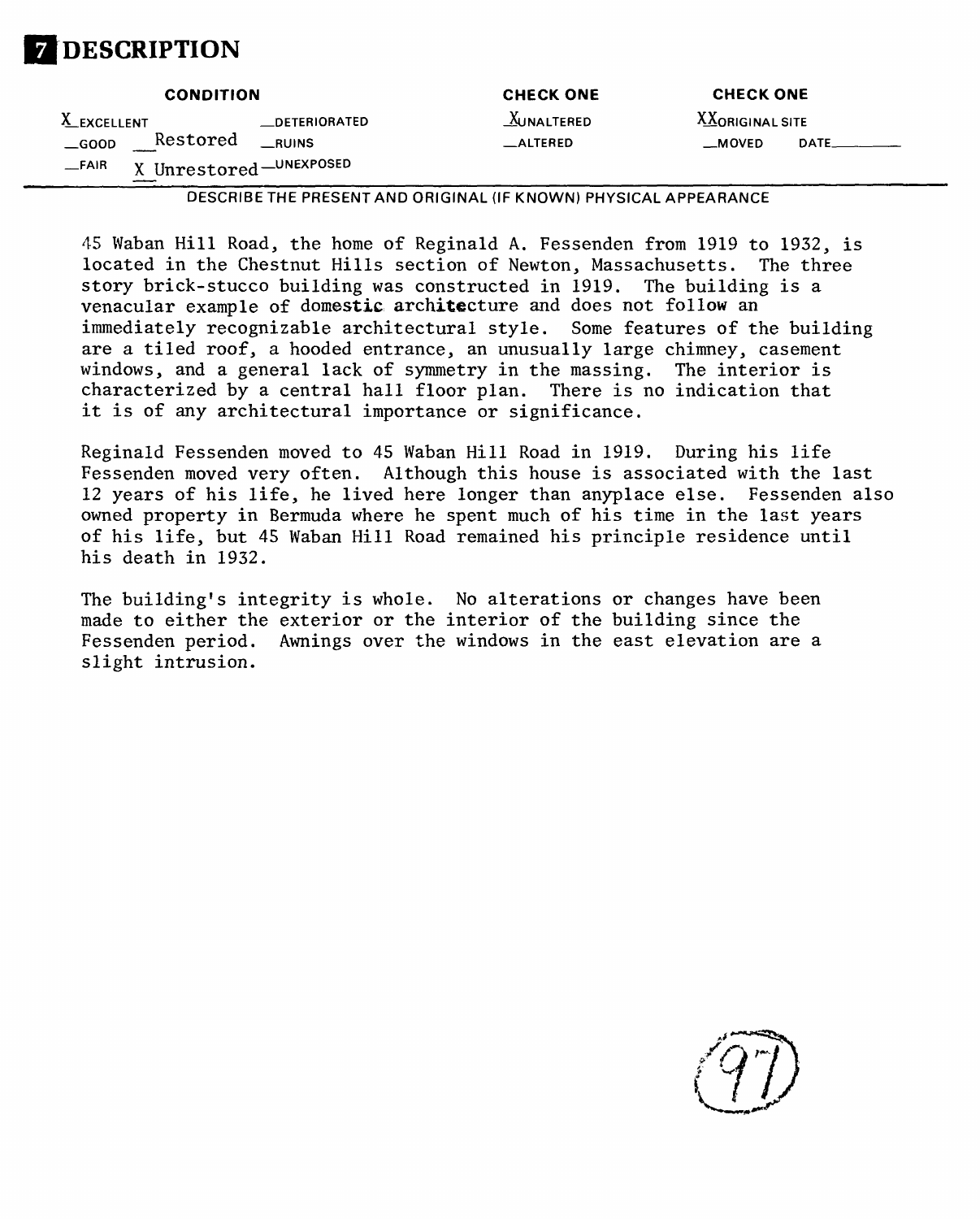

|               | <b>CONDITION</b>         |                      | <b>CHECK ONE</b>                                                 | <b>CHECK ONE</b> |                |
|---------------|--------------------------|----------------------|------------------------------------------------------------------|------------------|----------------|
| X_EXCELLENT   |                          | <b>LDETERIORATED</b> | <b>AUNALTERED</b>                                                | XXORIGINAL SITE  |                |
| $\equiv$ GOOD | Restored                 | <b>RUINS</b>         | $\equiv$ ALTERED                                                 | _MOVED           | $DATE$ _______ |
| $-$ FAIR      | X Unrestored - UNEXPOSED |                      |                                                                  |                  |                |
|               |                          |                      | DESCRIBE THE PRESENT AND ORIGINAL (IF KNOWN) PHYSICAL APPEARANCE |                  |                |

45 Waban Hill Road, the home of Reginald A. Fessenden from 1919 to 1932, is located in the Chestnut Hills section of Newton, Massachusetts. The three story brick-stucco building was constructed in 1919. The building is a venacular example of domestic architecture and does not follow an immediately recognizable architectural style. Some features of the building are a tiled roof, a hooded entrance, an unusually large chimney, casement windows, and a general lack of symmetry in the massing. The interior is characterized by a central hall floor plan. There is no indication that it is of any architectural importance or significance.

Reginald Fessenden moved to 45 Waban Hill Road in 1919. During his life Fessenden moved very often. Although this house is associated with the last 12 years of his life, he lived here longer than anyplace else. Fessenden also owned property in Bermuda where he spent much of his time in the last years of his life, but 45 Waban Hill Road remained his principle residence until his death in 1932.

The building's integrity is whole. No alterations or changes have been made to either the exterior or the interior of the building since the Fessenden period. Awnings over the windows in the east elevation are a slight intrusion.

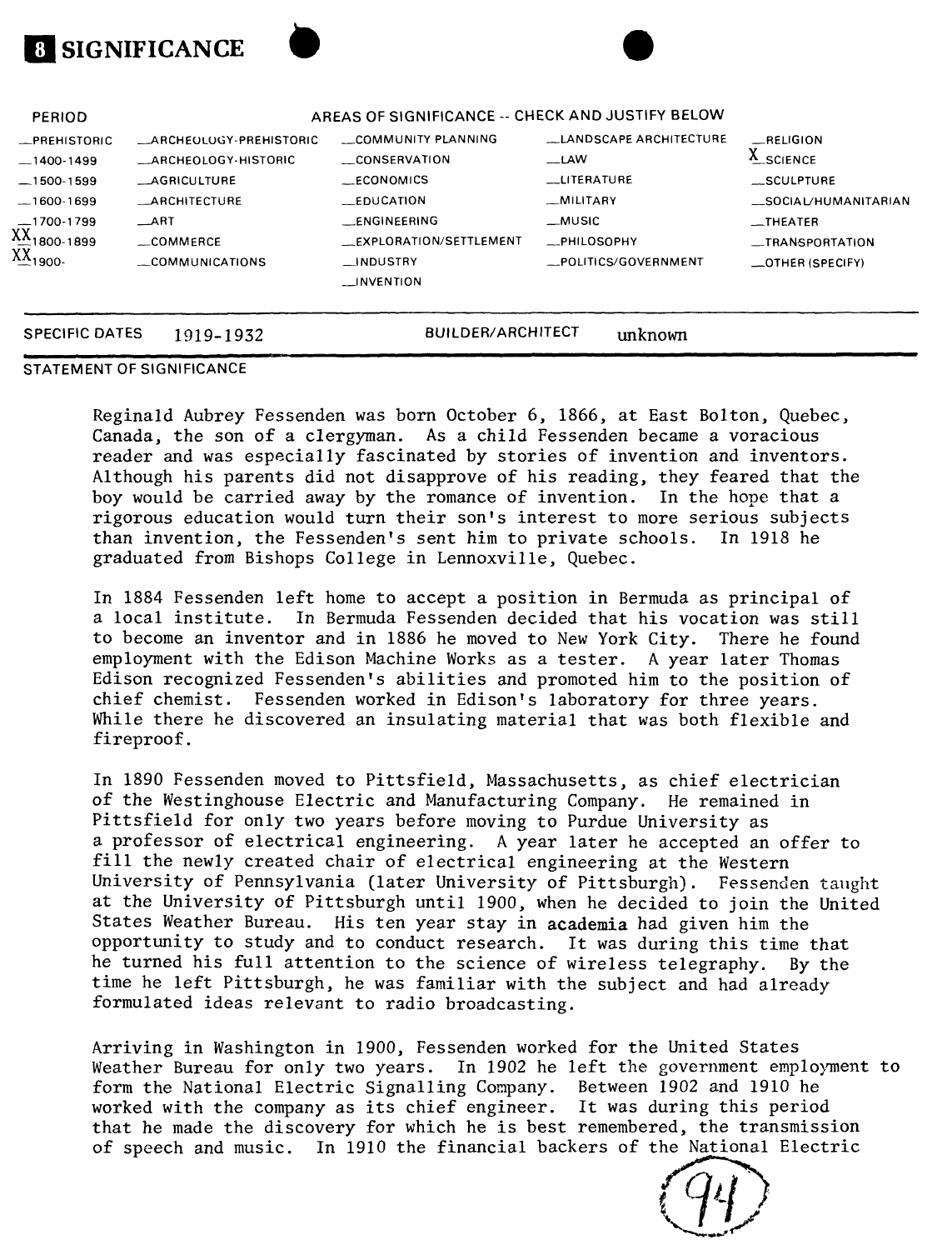| <b>PERIOD</b>                                                                                                  |                                                                                                                                                       | AREAS OF SIGNIFICANCE -- CHECK AND JUSTIFY BELOW                                                                                                       |                                                                                                                       |                                                                                                                             |
|----------------------------------------------------------------------------------------------------------------|-------------------------------------------------------------------------------------------------------------------------------------------------------|--------------------------------------------------------------------------------------------------------------------------------------------------------|-----------------------------------------------------------------------------------------------------------------------|-----------------------------------------------------------------------------------------------------------------------------|
| -PREHISTORIC<br>$-1400-1499$<br>$-1500-1599$<br>$-1600-1699$<br>$-1700-1799$<br>$XX_{1800-1899}$<br>$X_{1900}$ | <b>ARCHEOLOGY-PREHISTORIC</b><br>_ARCHEOLOGY-HISTORIC<br><b>AGRICULTURE</b><br><b>_ARCHITECTURE</b><br>$\_ART$<br>$\equiv$ COMMFRCE<br>COMMUNICATIONS | COMMUNITY PLANNING<br>CONSERVATION<br>__ECONOMICS<br><b>EDUCATION</b><br>_ENGINEERING<br>EXPLORATION/SETTLEMENT<br><b>NDUSTRY</b><br><b>LINVENTION</b> | LLANDSCAPE ARCHITECTURE<br>__LAW<br><b>LLITERATURE</b><br>_MILITARY<br>__MUSIC<br>_PHILOSOPHY<br>_POLITICS/GOVERNMENT | RELIGION<br>A_SCIENCE<br>__SCULPTURE<br>__SOCIAL/HUMANITARIAN<br>$-$ THEATER<br>_TRANSPORTATION<br>$\equiv$ OTHER (SPECIFY) |
| <b>SPECIFIC DATES</b>                                                                                          | 1919-1932                                                                                                                                             | BUILDER/ARCHITECT                                                                                                                                      | unknown                                                                                                               |                                                                                                                             |

#### **STATEMENT OF SIGNIFICANCE**

**SIGNIFICANCE**

Reginald Aubrey Fessenden was born October 6, 1866, at East Bolton, Quebec, Canada, the son of a clergyman. As a child Fessenden became a voracious reader and was especially fascinated by stories of invention and inventors. Although his parents did not disapprove of his reading, they feared that the boy would be carried away by the romance of invention. In the hope that a rigorous education would turn their son's interest to more serious subjects than invention, the Fessenden's sent him to private schools. In 1918 he graduated from Bishops College in Lennoxville, Quebec.

In 1884 Fessenden left home to accept a position in Bermuda as principal of a local institute. In Bermuda Fessenden decided that his vocation was still to become an inventor and in 1886 he moved to New York City. There he found employment with the Edison Machine Works as a tester. A year later Thomas Edison recognized Fessenden's abilities and promoted him to the position of chief chemist. Fessenden worked in Edison's laboratory for three years. While there he discovered an insulating material that was both flexible and fireproof.

In 1890 Fessenden moved to Pittsfield, Massachusetts, as chief electrician of the Westinghouse Electric and Manufacturing Company. He remained in Pittsfield for only two years before moving to Purdue University as a professor of electrical engineering. A year later he accepted an offer to fill the newly created chair of electrical engineering at the Western University of Pennsylvania (later University of Pittsburgh). Fessenden taught at the University of Pittsburgh until 1900, when he decided to join the United States Weather Bureau. His ten year stay in academia had given him the opportunity to study and to conduct research. It was during this time that he turned his full attention to the science of wireless telegraphy. By the time he left Pittsburgh, he was familiar with the subject and had already formulated ideas relevant to radio broadcasting.

Arriving in Washington in 1900, Fessenden worked for the United States Weather Bureau for only two years. In 1902 he left the government employment to form the National Electric Signalling Company. Between 1902 and 1910 he worked with the company as its chief engineer. It was during this period that he made the discovery for which he is best remembered, the transmission of speech and music. In 1910 the financial backers of the National Electric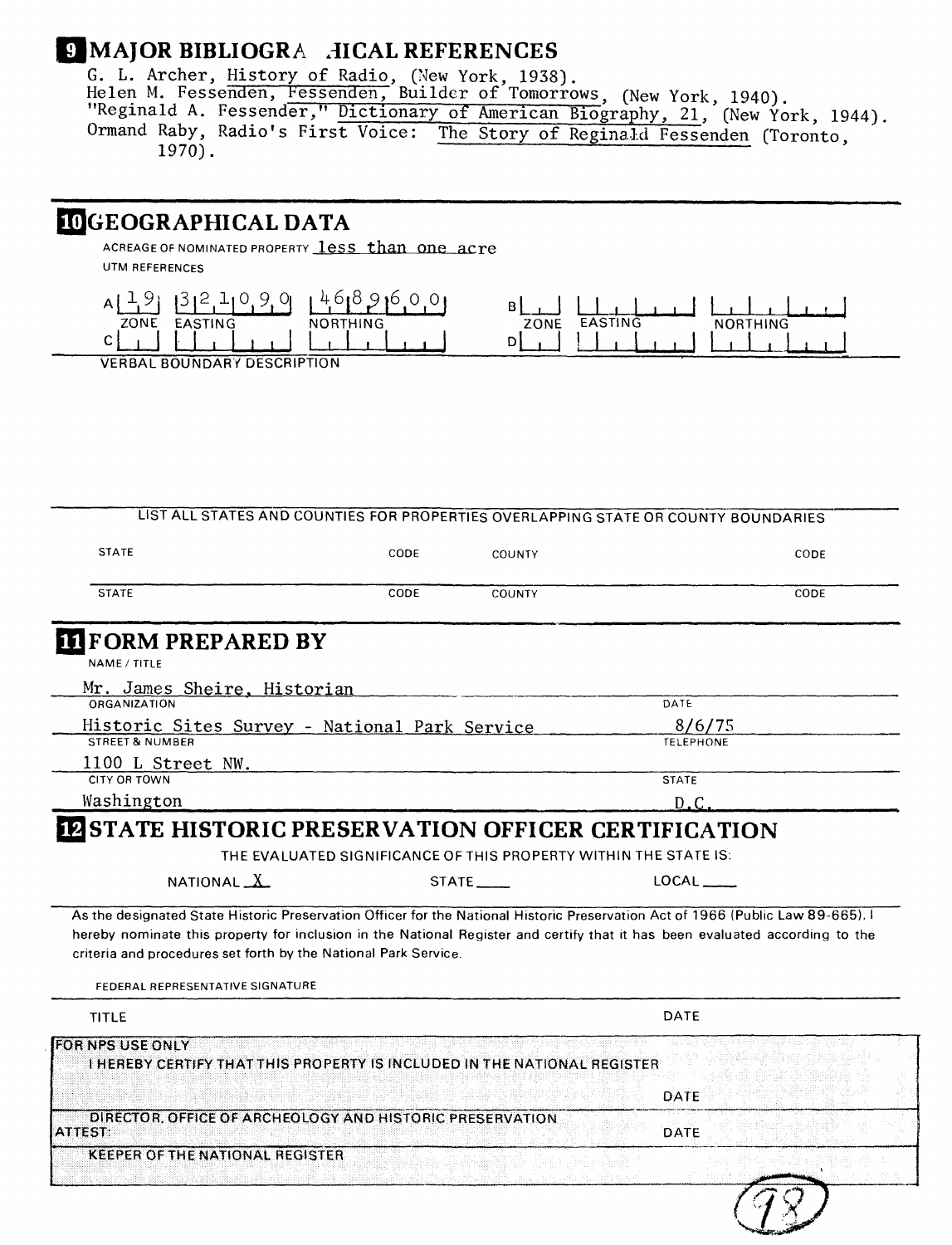# **MAJOR BIBLIOGRA .1ICAL REFERENCES**

G. L. Archer, History of Radio, (New York, 1938). Helen M. Fessenden, Fessenden, Builder of Tomorrows, (New York, 1940). "Reginald A. Fessender," Dictionary of American Biography, 21, (New York, 1944). Ormand Raby, Radio's First Voice: The Story of Reginald Fessenden (Toronto,

## **JGEOGRAPHICAL DATA**

ACREAGE OF NOMINATED PROPERTY **less than one acre** UTM REFERENCES



**VERBAL BOUNDARY DESCRIPTION**

### **LIST ALL STATES AND COUNTIES FOR PROPERTIES OVERLAPPING STATE OR COUNTY BOUNDARIES**

| <b>STATE</b> | CODE | COUNTY | CODE |
|--------------|------|--------|------|
| <b>STATE</b> | CODE | COUNTY | CODE |

### **FORM PREPARED BY**

**NAME/TITLE**

| Mr. James Sheire, Historian                   |                  |  |
|-----------------------------------------------|------------------|--|
| ORGANIZATION                                  | DATE             |  |
| Historic Sites Survey - National Park Service | 8/6/75           |  |
| STREET & NUMBER                               | <b>TELEPHONE</b> |  |
| 1100 L Street NW.                             |                  |  |
| CITY OR TOWN                                  | <b>STATE</b>     |  |
| Washington                                    |                  |  |

### **12 STATE HISTORIC PRESERVATION OFFICER CERTIFICATION**

**THE EVALUATED SIGNIFICANCE OF THIS PROPERTY WITHIN THE STATE IS.** 

| NATIONAL $\underline{X}$ | $STATE$ <sub>______</sub> | LOCAL |
|--------------------------|---------------------------|-------|
|--------------------------|---------------------------|-------|

**As the designated State Historic Preservation Officer for the National Historic Preservation Act of 1966 (Public Law 89-665), I hereby nominate this property for inclusion in the National Register and certify that it has been evaluated according to the criteria and procedures set forth by the National Park Service.**

**FEDERAL REPRESENTATIVE SIGNATURE**

| <b>TITLE</b>                                                                                         | DATE        |
|------------------------------------------------------------------------------------------------------|-------------|
| <b>FOR NPS USE ONLY</b><br>I HEREBY CERTIFY THAT THIS PROPERTY IS INCLUDED IN THE NATIONAL REGISTER. |             |
|                                                                                                      | DATE        |
| DIRECTOR, OFFICE OF ARCHEOLOGY AND HISTORIC PRESERVATION<br>IATTEST:                                 | <b>DATE</b> |
| <b>KEEPER OF THE NATIONAL REGISTER</b>                                                               | -- 1994     |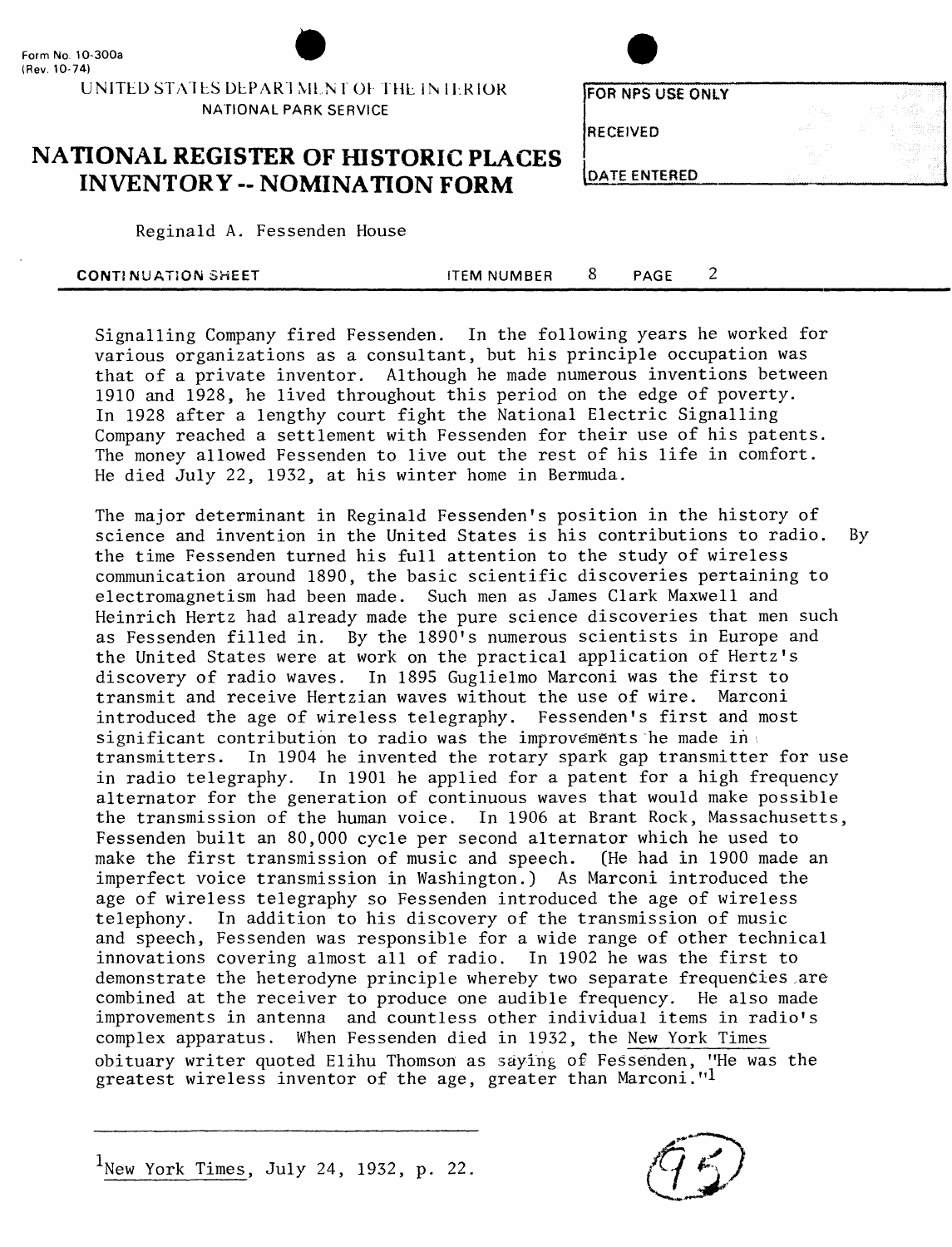

**NATIONAL PARK SERVICE**

**FORNPSUSEONIY**

**RECEIVED**

### **NATIONAL REGISTER OF HISTORIC PLACES INVENTORY - NOMINATION FORM**

| DATE ENTERED |  |  |
|--------------|--|--|

Reginald A. Fessenden House

| <b>CONTINUATION SHEET</b> | ITEM NUMBER | PAGE |  |  |
|---------------------------|-------------|------|--|--|
|                           |             |      |  |  |

Signalling Company fired Fessenden. In the following years he worked for various organizations as a consultant, but his principle occupation was that of a private inventor. Although he made numerous inventions between 1910 and 1928, he lived throughout this period on the edge of poverty. In 1928 after a lengthy court fight the National Electric Signalling Company reached a settlement with Fessenden for their use of his patents. The money allowed Fessenden to live out the rest of his life in comfort. He died July 22, 1932, at his winter home in Bermuda.

The major determinant in Reginald Fessenden's position in the history of science and invention in the United States is his contributions to radio. By the time Fessenden turned his full attention to the study of wireless communication around 1890, the basic scientific discoveries pertaining to electromagnetism had been made. Such men as James Clark Maxwell and Heinrich Hertz had already made the pure science discoveries that men such as Fessenden filled in. By the 1890's numerous scientists in Europe and the United States were at work on the practical application of Hertz's discovery of radio waves. In 1895 Guglielmo Marconi was the first to transmit and receive Hertzian waves without the use of wire. Marconi introduced the age of wireless telegraphy. Fessenden's first and most significant contribution to radio was the improvements he made in transmitters. In 1904 he invented the rotary spark gap transmitter for use in radio telegraphy. In 1901 he applied for a patent for a high frequency alternator for the generation of continuous waves that would make possible the transmission of the human voice. In 1906 at Brant Rock, Massachusetts, Fessenden built an 80,000 cycle per second alternator which he used to make the first transmission of music and speech. (He had in 1900 made an make the first transmission of music and speech. imperfect voice transmission in Washington.) As Marconi introduced the age of wireless telegraphy so Fessenden introduced the age of wireless telephony. In addition to his discovery of the transmission of music and speech, Fessenden was responsible for a wide range of other technical innovations covering almost all of radio. In 1902 he was the first to demonstrate the heterodyne principle whereby two separate frequencies are combined at the receiver to produce one audible frequency. He also made improvements in antenna and countless other individual items in radio's complex apparatus. When Fessenden died in 1932, the New York Times obituary writer quoted Elihu Thomson as saying of Fessenden, "He was the greatest wireless inventor of the age, greater than Marconi."1